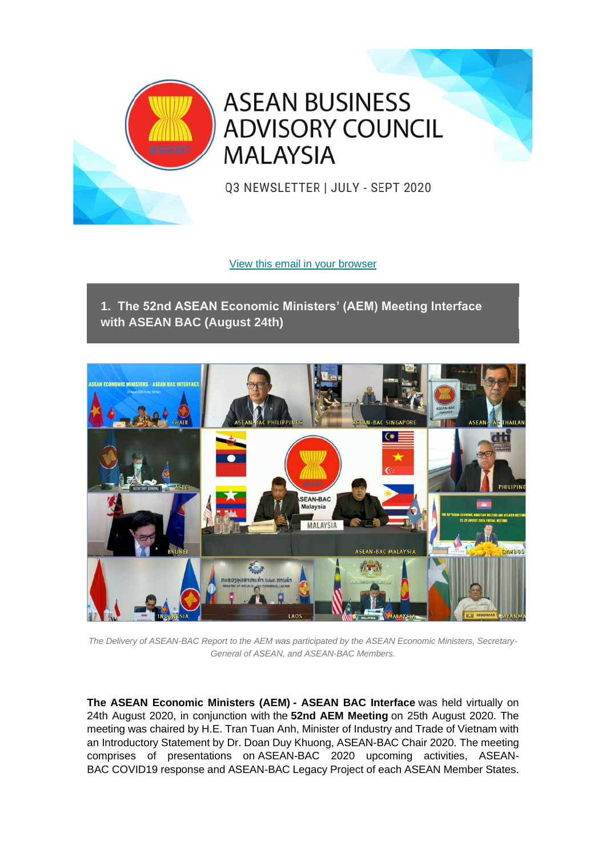

**ASEAN BUSINESS ADVISORY COUNCIL MALAYSIA** 

03 NEWSLETTER | JULY - SEPT 2020

[View this email in your browser](https://mailchi.mp/52ca6b822d43/asean-bac-malaysias-q2-2018-newsletter-updates-2716265?e=aa7d404edc)

**1. The 52nd ASEAN Economic Ministers' (AEM) Meeting Interface with ASEAN BAC (August 24th)**



*The Delivery of ASEAN-BAC Report to the AEM was participated by the ASEAN Economic Ministers, Secretary-General of ASEAN, and ASEAN-BAC Members.*

**The ASEAN Economic Ministers (AEM) - ASEAN BAC Interface** was held virtually on 24th August 2020, in conjunction with the **52nd AEM Meeting** on 25th August 2020. The meeting was chaired by H.E. Tran Tuan Anh, Minister of Industry and Trade of Vietnam with an Introductory Statement by Dr. Doan Duy Khuong, ASEAN-BAC Chair 2020. The meeting comprises of presentations on ASEAN-BAC 2020 upcoming activities, ASEAN-BAC COVID19 response and ASEAN-BAC Legacy Project of each ASEAN Member States.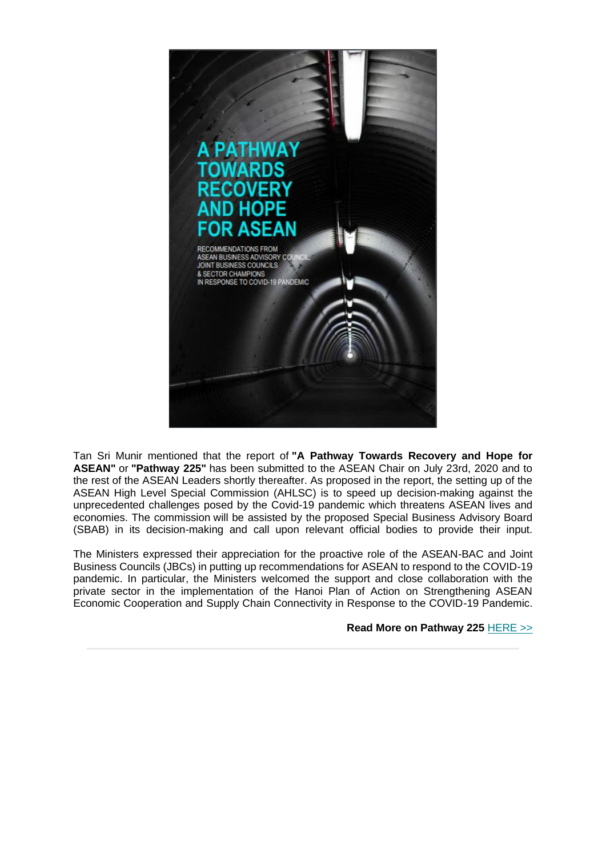

Tan Sri Munir mentioned that the report of **"A Pathway Towards Recovery and Hope for ASEAN"** or **"Pathway 225"** has been submitted to the ASEAN Chair on July 23rd, 2020 and to the rest of the ASEAN Leaders shortly thereafter. As proposed in the report, the setting up of the ASEAN High Level Special Commission (AHLSC) is to speed up decision-making against the unprecedented challenges posed by the Covid-19 pandemic which threatens ASEAN lives and economies. The commission will be assisted by the proposed Special Business Advisory Board (SBAB) in its decision-making and call upon relevant official bodies to provide their input.

The Ministers expressed their appreciation for the proactive role of the ASEAN-BAC and Joint Business Councils (JBCs) in putting up recommendations for ASEAN to respond to the COVID-19 pandemic. In particular, the Ministers welcomed the support and close collaboration with the private sector in the implementation of the Hanoi Plan of Action on Strengthening ASEAN Economic Cooperation and Supply Chain Connectivity in Response to the COVID-19 Pandemic.

**Read More on Pathway 225** [HERE >>](https://aseanbac.us12.list-manage.com/track/click?u=7981e0370c4f4201db79a0446&id=40577bfdfa&e=aa7d404edc)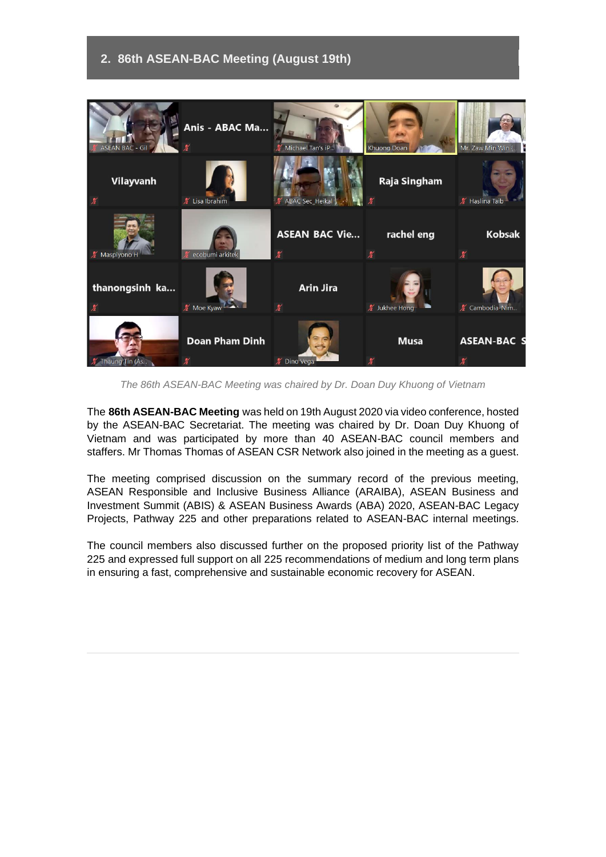## **2. 86th ASEAN-BAC Meeting (August 19th)**



*The 86th ASEAN-BAC Meeting was chaired by Dr. Doan Duy Khuong of Vietnam*

The **86th ASEAN-BAC Meeting** was held on 19th August 2020 via video conference, hosted by the ASEAN-BAC Secretariat. The meeting was chaired by Dr. Doan Duy Khuong of Vietnam and was participated by more than 40 ASEAN-BAC council members and staffers. Mr Thomas Thomas of ASEAN CSR Network also joined in the meeting as a guest.

The meeting comprised discussion on the summary record of the previous meeting, ASEAN Responsible and Inclusive Business Alliance (ARAIBA), ASEAN Business and Investment Summit (ABIS) & ASEAN Business Awards (ABA) 2020, ASEAN-BAC Legacy Projects, Pathway 225 and other preparations related to ASEAN-BAC internal meetings.

The council members also discussed further on the proposed priority list of the Pathway 225 and expressed full support on all 225 recommendations of medium and long term plans in ensuring a fast, comprehensive and sustainable economic recovery for ASEAN.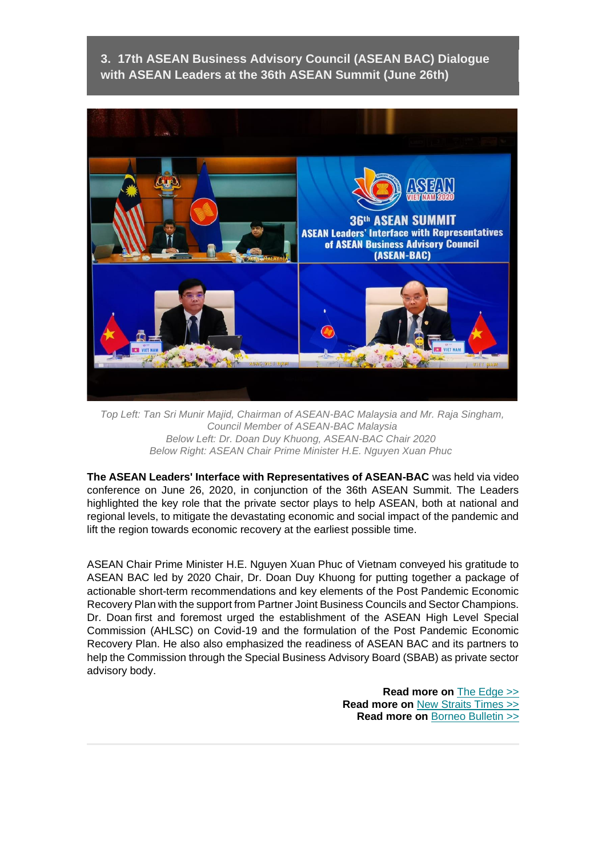**3. 17th ASEAN Business Advisory Council (ASEAN BAC) Dialogue with ASEAN Leaders at the 36th ASEAN Summit (June 26th)**



*Top Left: Tan Sri Munir Majid, Chairman of ASEAN-BAC Malaysia and Mr. Raja Singham, Council Member of ASEAN-BAC Malaysia Below Left: Dr. Doan Duy Khuong, ASEAN-BAC Chair 2020 Below Right: ASEAN Chair Prime Minister H.E. Nguyen Xuan Phuc*

**The ASEAN Leaders' Interface with Representatives of ASEAN-BAC** was held via video conference on June 26, 2020, in conjunction of the 36th ASEAN Summit. The Leaders highlighted the key role that the private sector plays to help ASEAN, both at national and regional levels, to mitigate the devastating economic and social impact of the pandemic and lift the region towards economic recovery at the earliest possible time.

ASEAN Chair Prime Minister H.E. Nguyen Xuan Phuc of Vietnam conveyed his gratitude to ASEAN BAC led by 2020 Chair, Dr. Doan Duy Khuong for putting together a package of actionable short-term recommendations and key elements of the Post Pandemic Economic Recovery Plan with the support from Partner Joint Business Councils and Sector Champions. Dr. Doan first and foremost urged the establishment of the ASEAN High Level Special Commission (AHLSC) on Covid-19 and the formulation of the Post Pandemic Economic Recovery Plan. He also also emphasized the readiness of ASEAN BAC and its partners to help the Commission through the Special Business Advisory Board (SBAB) as private sector advisory body.

> **Read more on** [The Edge >>](https://aseanbac.us12.list-manage.com/track/click?u=7981e0370c4f4201db79a0446&id=37784df909&e=aa7d404edc) **Read more on** [New Straits Times](https://aseanbac.us12.list-manage.com/track/click?u=7981e0370c4f4201db79a0446&id=1145a20822&e=aa7d404edc) >> **Read more on** [Borneo Bulletin >>](https://aseanbac.us12.list-manage.com/track/click?u=7981e0370c4f4201db79a0446&id=fb7a6451ed&e=aa7d404edc)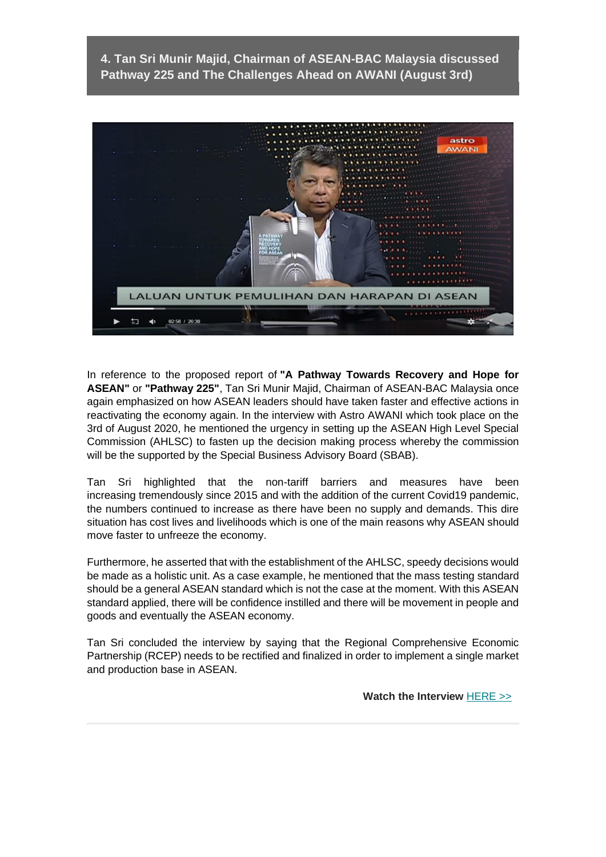**4. Tan Sri Munir Majid, Chairman of ASEAN-BAC Malaysia discussed Pathway 225 and The Challenges Ahead on AWANI (August 3rd)**



In reference to the proposed report of **"A Pathway Towards Recovery and Hope for ASEAN"** or **"Pathway 225"**, Tan Sri Munir Majid, Chairman of ASEAN-BAC Malaysia once again emphasized on how ASEAN leaders should have taken faster and effective actions in reactivating the economy again. In the interview with Astro AWANI which took place on the 3rd of August 2020, he mentioned the urgency in setting up the ASEAN High Level Special Commission (AHLSC) to fasten up the decision making process whereby the commission will be the supported by the Special Business Advisory Board (SBAB).

Tan Sri highlighted that the non-tariff barriers and measures have been increasing tremendously since 2015 and with the addition of the current Covid19 pandemic, the numbers continued to increase as there have been no supply and demands. This dire situation has cost lives and livelihoods which is one of the main reasons why ASEAN should move faster to unfreeze the economy.

Furthermore, he asserted that with the establishment of the AHLSC, speedy decisions would be made as a holistic unit. As a case example, he mentioned that the mass testing standard should be a general ASEAN standard which is not the case at the moment. With this ASEAN standard applied, there will be confidence instilled and there will be movement in people and goods and eventually the ASEAN economy.

Tan Sri concluded the interview by saying that the Regional Comprehensive Economic Partnership (RCEP) needs to be rectified and finalized in order to implement a single market and production base in ASEAN.

 **Watch the Interview** [HERE >>](https://aseanbac.us12.list-manage.com/track/click?u=7981e0370c4f4201db79a0446&id=7c6ce2d097&e=aa7d404edc)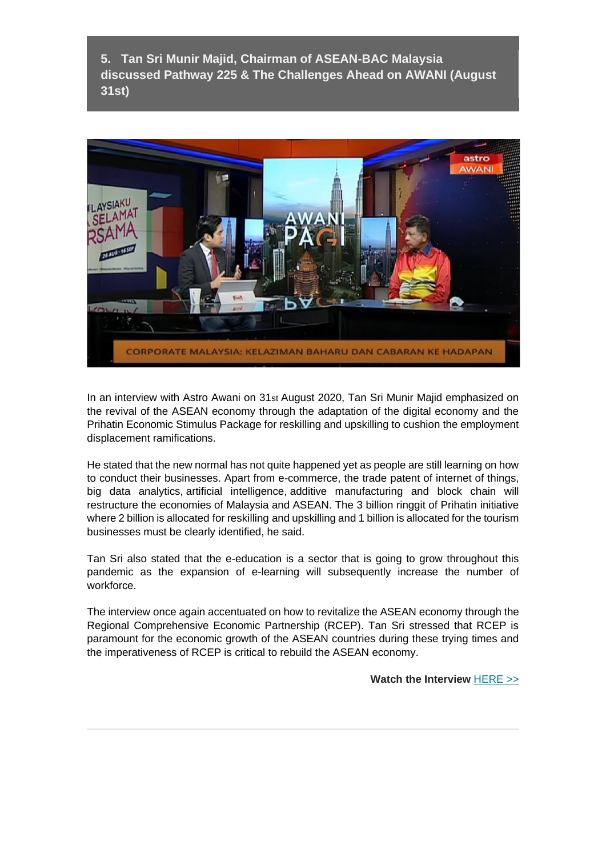**5. Tan Sri Munir Majid, Chairman of ASEAN-BAC Malaysia discussed Pathway 225 & The Challenges Ahead on AWANI (August 31st)**



In an interview with Astro Awani on 31st August 2020, Tan Sri Munir Majid emphasized on the revival of the ASEAN economy through the adaptation of the digital economy and the Prihatin Economic Stimulus Package for reskilling and upskilling to cushion the employment displacement ramifications.

He stated that the new normal has not quite happened yet as people are still learning on how to conduct their businesses. Apart from e-commerce, the trade patent of internet of things, big data analytics, artificial intelligence, additive manufacturing and block chain will restructure the economies of Malaysia and ASEAN. The 3 billion ringgit of Prihatin initiative where 2 billion is allocated for reskilling and upskilling and 1 billion is allocated for the tourism businesses must be clearly identified, he said.

Tan Sri also stated that the e-education is a sector that is going to grow throughout this pandemic as the expansion of e-learning will subsequently increase the number of workforce.

The interview once again accentuated on how to revitalize the ASEAN economy through the Regional Comprehensive Economic Partnership (RCEP). Tan Sri stressed that RCEP is paramount for the economic growth of the ASEAN countries during these trying times and the imperativeness of RCEP is critical to rebuild the ASEAN economy.

**Watch the Interview** [HERE >>](https://aseanbac.us12.list-manage.com/track/click?u=7981e0370c4f4201db79a0446&id=1a4544baa3&e=aa7d404edc)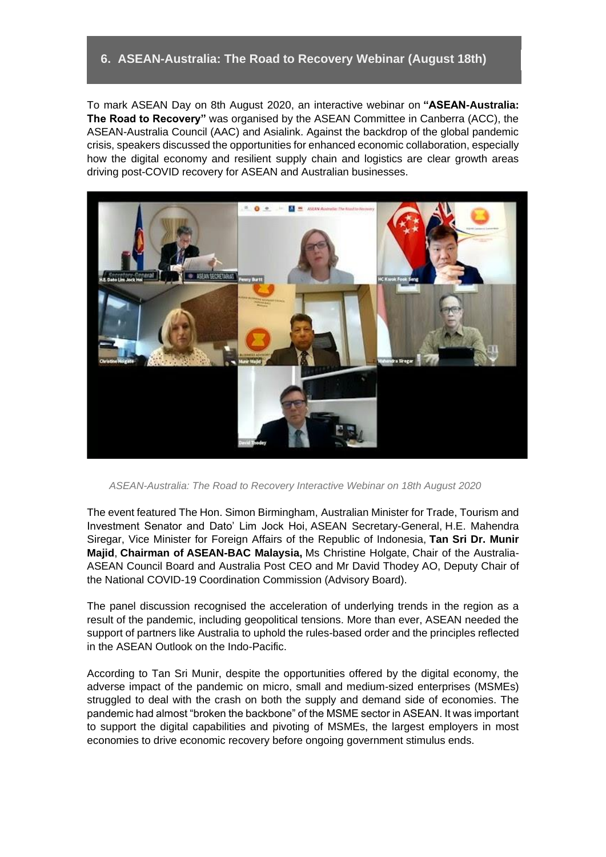### **6. ASEAN-Australia: The Road to Recovery Webinar (August 18th)**

To mark ASEAN Day on 8th August 2020, an interactive webinar on **"ASEAN-Australia: The Road to Recovery"** was organised by the ASEAN Committee in Canberra (ACC), the ASEAN-Australia Council (AAC) and Asialink. Against the backdrop of the global pandemic crisis, speakers discussed the opportunities for enhanced economic collaboration, especially how the digital economy and resilient supply chain and logistics are clear growth areas driving post-COVID recovery for ASEAN and Australian businesses.



*ASEAN-Australia: The Road to Recovery Interactive Webinar on 18th August 2020*

The event featured The Hon. Simon Birmingham, Australian Minister for Trade, Tourism and Investment Senator and Dato' Lim Jock Hoi, ASEAN Secretary-General, H.E. Mahendra Siregar, Vice Minister for Foreign Affairs of the Republic of Indonesia, **Tan Sri Dr. Munir Majid**, **Chairman of ASEAN-BAC Malaysia,** Ms Christine Holgate, Chair of the Australia-ASEAN Council Board and Australia Post CEO and Mr David Thodey AO, Deputy Chair of the National COVID-19 Coordination Commission (Advisory Board).

The panel discussion recognised the acceleration of underlying trends in the region as a result of the pandemic, including geopolitical tensions. More than ever, ASEAN needed the support of partners like Australia to uphold the rules-based order and the principles reflected in the ASEAN Outlook on the Indo-Pacific.

According to Tan Sri Munir, despite the opportunities offered by the digital economy, the adverse impact of the pandemic on micro, small and medium-sized enterprises (MSMEs) struggled to deal with the crash on both the supply and demand side of economies. The pandemic had almost "broken the backbone" of the MSME sector in ASEAN. It was important to support the digital capabilities and pivoting of MSMEs, the largest employers in most economies to drive economic recovery before ongoing government stimulus ends.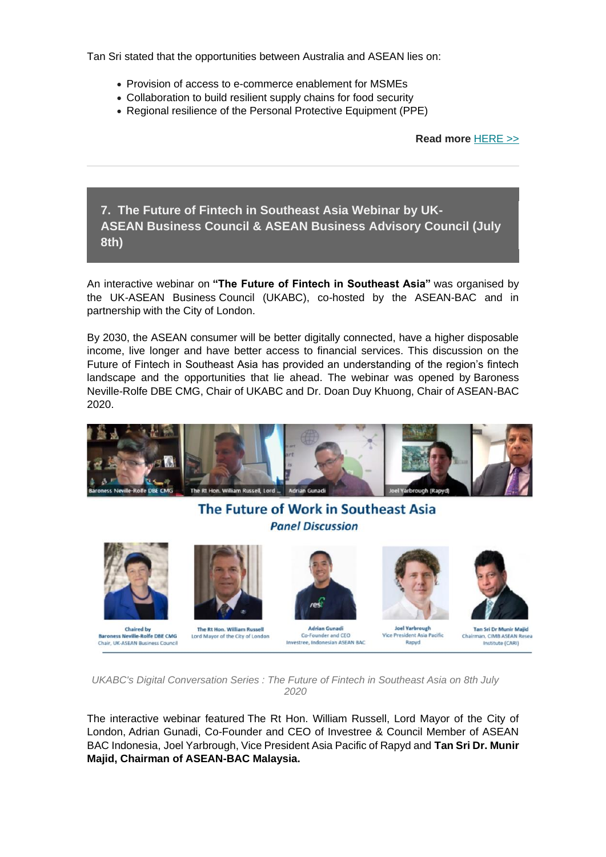Tan Sri stated that the opportunities between Australia and ASEAN lies on:

- Provision of access to e-commerce enablement for MSMEs
- Collaboration to build resilient supply chains for food security
- Regional resilience of the Personal Protective Equipment (PPE)

**Read more** [HERE >>](https://aseanbac.us12.list-manage.com/track/click?u=7981e0370c4f4201db79a0446&id=89cf6c6b1b&e=aa7d404edc)

**7. The Future of Fintech in Southeast Asia Webinar by UK-ASEAN Business Council & ASEAN Business Advisory Council (July 8th)**

An interactive webinar on **"The Future of Fintech in Southeast Asia"** was organised by the UK-ASEAN Business Council (UKABC), co-hosted by the ASEAN-BAC and in partnership with the City of London.

By 2030, the ASEAN consumer will be better digitally connected, have a higher disposable income, live longer and have better access to financial services. This discussion on the Future of Fintech in Southeast Asia has provided an understanding of the region's fintech landscape and the opportunities that lie ahead. The webinar was opened by Baroness Neville-Rolfe DBE CMG, Chair of UKABC and Dr. Doan Duy Khuong, Chair of ASEAN-BAC 2020.



# The Future of Work in Southeast Asia **Panel Discussion**



**Chaired by Baroness Neville-Rolfe DRE CMG** Chair, UK-ASEAN Business Council



The Rt Hon. William Russell Lord Mayor of the City of London



**Adrian Gunadi** Co-Founder and CEO Investree, Indonesian ASEAN BAC



**Joel Yarbrough** Vice President Asia Pacific Rapyd



**Tan Sri Dr Munir Majid** Chai an, CIMB ASEAN Resea Institute (CARI)

*UKABC's Digital Conversation Series : The Future of Fintech in Southeast Asia on 8th July 2020*

The interactive webinar featured The Rt Hon. William Russell, Lord Mayor of the City of London, Adrian Gunadi, Co-Founder and CEO of Investree & Council Member of ASEAN BAC Indonesia, Joel Yarbrough, Vice President Asia Pacific of Rapyd and **Tan Sri Dr. Munir Majid, Chairman of ASEAN-BAC Malaysia.**